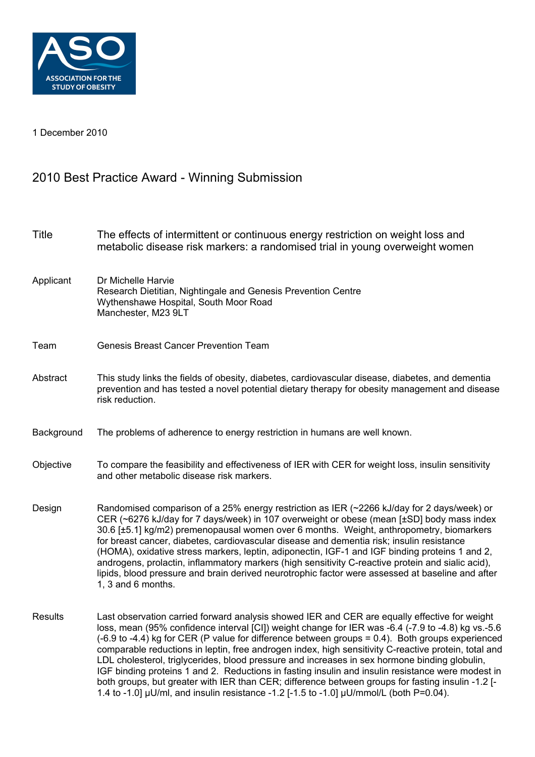

1 December 2010

## 2010 Best Practice Award - Winning Submission

| <b>Title</b>   | The effects of intermittent or continuous energy restriction on weight loss and<br>metabolic disease risk markers: a randomised trial in young overweight women                                                                                                                                                                                                                                                                                                                                                                                                                                                                                                                                                            |
|----------------|----------------------------------------------------------------------------------------------------------------------------------------------------------------------------------------------------------------------------------------------------------------------------------------------------------------------------------------------------------------------------------------------------------------------------------------------------------------------------------------------------------------------------------------------------------------------------------------------------------------------------------------------------------------------------------------------------------------------------|
| Applicant      | Dr Michelle Harvie<br>Research Dietitian, Nightingale and Genesis Prevention Centre<br>Wythenshawe Hospital, South Moor Road<br>Manchester, M23 9LT                                                                                                                                                                                                                                                                                                                                                                                                                                                                                                                                                                        |
| Team           | <b>Genesis Breast Cancer Prevention Team</b>                                                                                                                                                                                                                                                                                                                                                                                                                                                                                                                                                                                                                                                                               |
| Abstract       | This study links the fields of obesity, diabetes, cardiovascular disease, diabetes, and dementia<br>prevention and has tested a novel potential dietary therapy for obesity management and disease<br>risk reduction.                                                                                                                                                                                                                                                                                                                                                                                                                                                                                                      |
| Background     | The problems of adherence to energy restriction in humans are well known.                                                                                                                                                                                                                                                                                                                                                                                                                                                                                                                                                                                                                                                  |
| Objective      | To compare the feasibility and effectiveness of IER with CER for weight loss, insulin sensitivity<br>and other metabolic disease risk markers.                                                                                                                                                                                                                                                                                                                                                                                                                                                                                                                                                                             |
| Design         | Randomised comparison of a 25% energy restriction as IER (~2266 kJ/day for 2 days/week) or<br>CER (~6276 kJ/day for 7 days/week) in 107 overweight or obese (mean [±SD] body mass index<br>30.6 [±5.1] kg/m2) premenopausal women over 6 months. Weight, anthropometry, biomarkers<br>for breast cancer, diabetes, cardiovascular disease and dementia risk; insulin resistance<br>(HOMA), oxidative stress markers, leptin, adiponectin, IGF-1 and IGF binding proteins 1 and 2,<br>androgens, prolactin, inflammatory markers (high sensitivity C-reactive protein and sialic acid),<br>lipids, blood pressure and brain derived neurotrophic factor were assessed at baseline and after<br>1, 3 and 6 months.           |
| <b>Results</b> | Last observation carried forward analysis showed IER and CER are equally effective for weight<br>loss, mean (95% confidence interval [CI]) weight change for IER was -6.4 (-7.9 to -4.8) kg vs.-5.6<br>(-6.9 to -4.4) kg for CER (P value for difference between groups = 0.4). Both groups experienced<br>comparable reductions in leptin, free androgen index, high sensitivity C-reactive protein, total and<br>LDL cholesterol, triglycerides, blood pressure and increases in sex hormone binding globulin,<br>IGF binding proteins 1 and 2. Reductions in fasting insulin and insulin resistance were modest in<br>both groups, but greater with IER than CER; difference between groups for fasting insulin -1.2 [- |

1.4 to -1.0]  $\mu$ U/ml, and insulin resistance -1.2 [-1.5 to -1.0]  $\mu$ U/mmol/L (both P=0.04).